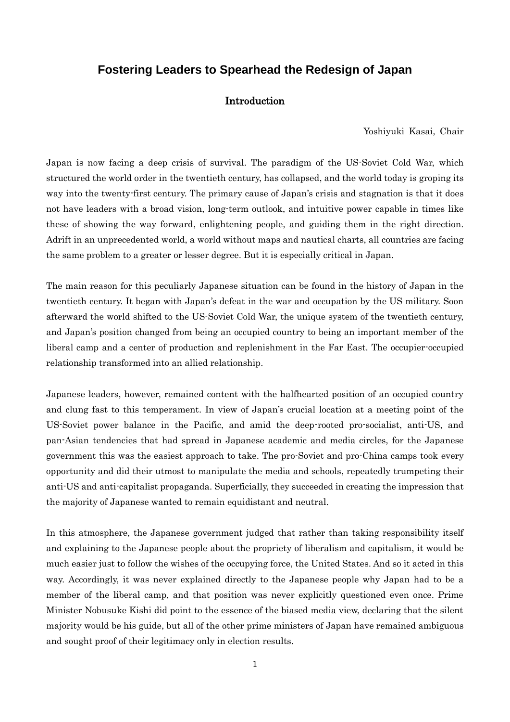## **Fostering Leaders to Spearhead the Redesign of Japan**

## Introduction

Yoshiyuki Kasai, Chair

Japan is now facing a deep crisis of survival. The paradigm of the US-Soviet Cold War, which structured the world order in the twentieth century, has collapsed, and the world today is groping its way into the twenty-first century. The primary cause of Japan's crisis and stagnation is that it does not have leaders with a broad vision, long-term outlook, and intuitive power capable in times like these of showing the way forward, enlightening people, and guiding them in the right direction. Adrift in an unprecedented world, a world without maps and nautical charts, all countries are facing the same problem to a greater or lesser degree. But it is especially critical in Japan.

The main reason for this peculiarly Japanese situation can be found in the history of Japan in the twentieth century. It began with Japan's defeat in the war and occupation by the US military. Soon afterward the world shifted to the US-Soviet Cold War, the unique system of the twentieth century, and Japan's position changed from being an occupied country to being an important member of the liberal camp and a center of production and replenishment in the Far East. The occupier-occupied relationship transformed into an allied relationship.

Japanese leaders, however, remained content with the halfhearted position of an occupied country and clung fast to this temperament. In view of Japan's crucial location at a meeting point of the US-Soviet power balance in the Pacific, and amid the deep-rooted pro-socialist, anti-US, and pan-Asian tendencies that had spread in Japanese academic and media circles, for the Japanese government this was the easiest approach to take. The pro-Soviet and pro-China camps took every opportunity and did their utmost to manipulate the media and schools, repeatedly trumpeting their anti-US and anti-capitalist propaganda. Superficially, they succeeded in creating the impression that the majority of Japanese wanted to remain equidistant and neutral.

In this atmosphere, the Japanese government judged that rather than taking responsibility itself and explaining to the Japanese people about the propriety of liberalism and capitalism, it would be much easier just to follow the wishes of the occupying force, the United States. And so it acted in this way. Accordingly, it was never explained directly to the Japanese people why Japan had to be a member of the liberal camp, and that position was never explicitly questioned even once. Prime Minister Nobusuke Kishi did point to the essence of the biased media view, declaring that the silent majority would be his guide, but all of the other prime ministers of Japan have remained ambiguous and sought proof of their legitimacy only in election results.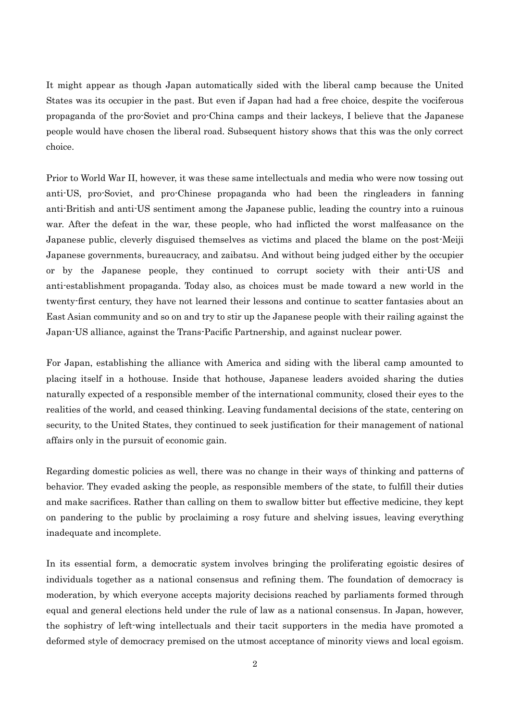It might appear as though Japan automatically sided with the liberal camp because the United States was its occupier in the past. But even if Japan had had a free choice, despite the vociferous propaganda of the pro-Soviet and pro-China camps and their lackeys, I believe that the Japanese people would have chosen the liberal road. Subsequent history shows that this was the only correct choice.

Prior to World War II, however, it was these same intellectuals and media who were now tossing out anti-US, pro-Soviet, and pro-Chinese propaganda who had been the ringleaders in fanning anti-British and anti-US sentiment among the Japanese public, leading the country into a ruinous war. After the defeat in the war, these people, who had inflicted the worst malfeasance on the Japanese public, cleverly disguised themselves as victims and placed the blame on the post-Meiji Japanese governments, bureaucracy, and zaibatsu. And without being judged either by the occupier or by the Japanese people, they continued to corrupt society with their anti-US and anti-establishment propaganda. Today also, as choices must be made toward a new world in the twenty-first century, they have not learned their lessons and continue to scatter fantasies about an East Asian community and so on and try to stir up the Japanese people with their railing against the Japan-US alliance, against the Trans-Pacific Partnership, and against nuclear power.

For Japan, establishing the alliance with America and siding with the liberal camp amounted to placing itself in a hothouse. Inside that hothouse, Japanese leaders avoided sharing the duties naturally expected of a responsible member of the international community, closed their eyes to the realities of the world, and ceased thinking. Leaving fundamental decisions of the state, centering on security, to the United States, they continued to seek justification for their management of national affairs only in the pursuit of economic gain.

Regarding domestic policies as well, there was no change in their ways of thinking and patterns of behavior. They evaded asking the people, as responsible members of the state, to fulfill their duties and make sacrifices. Rather than calling on them to swallow bitter but effective medicine, they kept on pandering to the public by proclaiming a rosy future and shelving issues, leaving everything inadequate and incomplete.

In its essential form, a democratic system involves bringing the proliferating egoistic desires of individuals together as a national consensus and refining them. The foundation of democracy is moderation, by which everyone accepts majority decisions reached by parliaments formed through equal and general elections held under the rule of law as a national consensus. In Japan, however, the sophistry of left-wing intellectuals and their tacit supporters in the media have promoted a deformed style of democracy premised on the utmost acceptance of minority views and local egoism.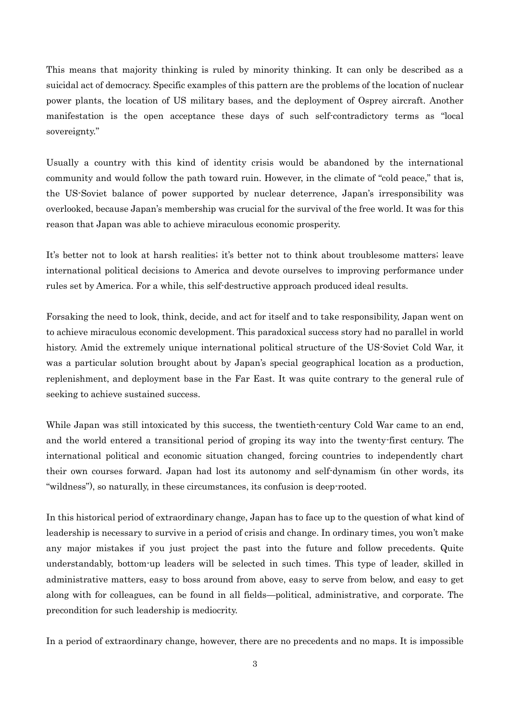This means that majority thinking is ruled by minority thinking. It can only be described as a suicidal act of democracy. Specific examples of this pattern are the problems of the location of nuclear power plants, the location of US military bases, and the deployment of Osprey aircraft. Another manifestation is the open acceptance these days of such self-contradictory terms as "local sovereignty."

Usually a country with this kind of identity crisis would be abandoned by the international community and would follow the path toward ruin. However, in the climate of "cold peace," that is, the US-Soviet balance of power supported by nuclear deterrence, Japan's irresponsibility was overlooked, because Japan's membership was crucial for the survival of the free world. It was for this reason that Japan was able to achieve miraculous economic prosperity.

It's better not to look at harsh realities; it's better not to think about troublesome matters; leave international political decisions to America and devote ourselves to improving performance under rules set by America. For a while, this self-destructive approach produced ideal results.

Forsaking the need to look, think, decide, and act for itself and to take responsibility, Japan went on to achieve miraculous economic development. This paradoxical success story had no parallel in world history. Amid the extremely unique international political structure of the US-Soviet Cold War, it was a particular solution brought about by Japan's special geographical location as a production, replenishment, and deployment base in the Far East. It was quite contrary to the general rule of seeking to achieve sustained success.

While Japan was still intoxicated by this success, the twentieth-century Cold War came to an end, and the world entered a transitional period of groping its way into the twenty-first century. The international political and economic situation changed, forcing countries to independently chart their own courses forward. Japan had lost its autonomy and self-dynamism (in other words, its "wildness"), so naturally, in these circumstances, its confusion is deep-rooted.

In this historical period of extraordinary change, Japan has to face up to the question of what kind of leadership is necessary to survive in a period of crisis and change. In ordinary times, you won't make any major mistakes if you just project the past into the future and follow precedents. Quite understandably, bottom-up leaders will be selected in such times. This type of leader, skilled in administrative matters, easy to boss around from above, easy to serve from below, and easy to get along with for colleagues, can be found in all fields—political, administrative, and corporate. The precondition for such leadership is mediocrity.

In a period of extraordinary change, however, there are no precedents and no maps. It is impossible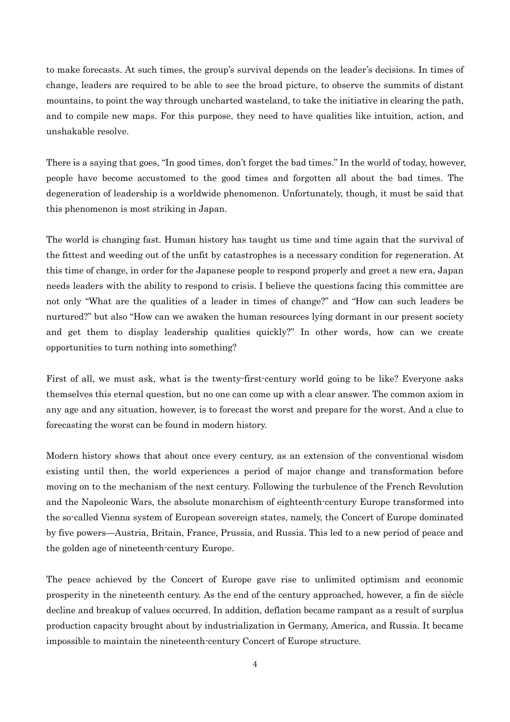to make forecasts. At such times, the group's survival depends on the leader's decisions. In times of change, leaders are required to be able to see the broad picture, to observe the summits of distant mountains, to point the way through uncharted wasteland, to take the initiative in clearing the path, and to compile new maps. For this purpose, they need to have qualities like intuition, action, and unshakable resolve.

There is a saying that goes, "In good times, don't forget the bad times." In the world of today, however, people have become accustomed to the good times and forgotten all about the bad times. The degeneration of leadership is a worldwide phenomenon. Unfortunately, though, it must be said that this phenomenon is most striking in Japan.

The world is changing fast. Human history has taught us time and time again that the survival of the fittest and weeding out of the unfit by catastrophes is a necessary condition for regeneration. At this time of change, in order for the Japanese people to respond properly and greet a new era, Japan needs leaders with the ability to respond to crisis. I believe the questions facing this committee are not only "What are the qualities of a leader in times of change?" and "How can such leaders be nurtured?" but also "How can we awaken the human resources lying dormant in our present society and get them to display leadership qualities quickly?" In other words, how can we create opportunities to turn nothing into something?

First of all, we must ask, what is the twenty-first-century world going to be like? Everyone asks themselves this eternal question, but no one can come up with a clear answer. The common axiom in any age and any situation, however, is to forecast the worst and prepare for the worst. And a clue to forecasting the worst can be found in modern history.

Modern history shows that about once every century, as an extension of the conventional wisdom existing until then, the world experiences a period of major change and transformation before moving on to the mechanism of the next century. Following the turbulence of the French Revolution and the Napoleonic Wars, the absolute monarchism of eighteenth-century Europe transformed into the so-called Vienna system of European sovereign states, namely, the Concert of Europe dominated by five powers—Austria, Britain, France, Prussia, and Russia. This led to a new period of peace and the golden age of nineteenth-century Europe.

The peace achieved by the Concert of Europe gave rise to unlimited optimism and economic prosperity in the nineteenth century. As the end of the century approached, however, a fin de siècle decline and breakup of values occurred. In addition, deflation became rampant as a result of surplus production capacity brought about by industrialization in Germany, America, and Russia. It became impossible to maintain the nineteenth-century Concert of Europe structure.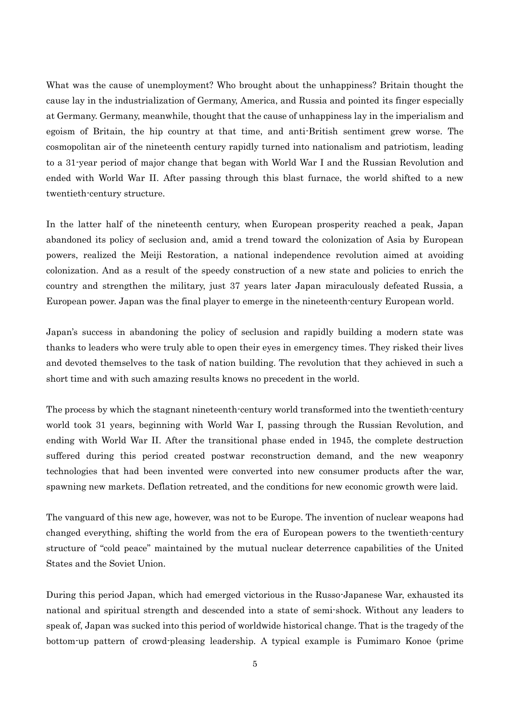What was the cause of unemployment? Who brought about the unhappiness? Britain thought the cause lay in the industrialization of Germany, America, and Russia and pointed its finger especially at Germany. Germany, meanwhile, thought that the cause of unhappiness lay in the imperialism and egoism of Britain, the hip country at that time, and anti-British sentiment grew worse. The cosmopolitan air of the nineteenth century rapidly turned into nationalism and patriotism, leading to a 31-year period of major change that began with World War I and the Russian Revolution and ended with World War II. After passing through this blast furnace, the world shifted to a new twentieth-century structure.

In the latter half of the nineteenth century, when European prosperity reached a peak, Japan abandoned its policy of seclusion and, amid a trend toward the colonization of Asia by European powers, realized the Meiji Restoration, a national independence revolution aimed at avoiding colonization. And as a result of the speedy construction of a new state and policies to enrich the country and strengthen the military, just 37 years later Japan miraculously defeated Russia, a European power. Japan was the final player to emerge in the nineteenth-century European world.

Japan's success in abandoning the policy of seclusion and rapidly building a modern state was thanks to leaders who were truly able to open their eyes in emergency times. They risked their lives and devoted themselves to the task of nation building. The revolution that they achieved in such a short time and with such amazing results knows no precedent in the world.

The process by which the stagnant nineteenth-century world transformed into the twentieth-century world took 31 years, beginning with World War I, passing through the Russian Revolution, and ending with World War II. After the transitional phase ended in 1945, the complete destruction suffered during this period created postwar reconstruction demand, and the new weaponry technologies that had been invented were converted into new consumer products after the war, spawning new markets. Deflation retreated, and the conditions for new economic growth were laid.

The vanguard of this new age, however, was not to be Europe. The invention of nuclear weapons had changed everything, shifting the world from the era of European powers to the twentieth-century structure of "cold peace" maintained by the mutual nuclear deterrence capabilities of the United States and the Soviet Union.

During this period Japan, which had emerged victorious in the Russo-Japanese War, exhausted its national and spiritual strength and descended into a state of semi-shock. Without any leaders to speak of, Japan was sucked into this period of worldwide historical change. That is the tragedy of the bottom-up pattern of crowd-pleasing leadership. A typical example is Fumimaro Konoe (prime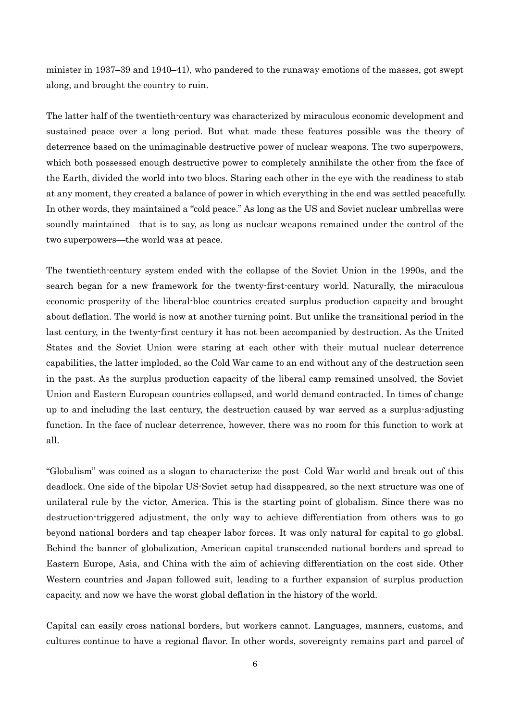minister in 1937–39 and 1940–41), who pandered to the runaway emotions of the masses, got swept along, and brought the country to ruin.

The latter half of the twentieth-century was characterized by miraculous economic development and sustained peace over a long period. But what made these features possible was the theory of deterrence based on the unimaginable destructive power of nuclear weapons. The two superpowers, which both possessed enough destructive power to completely annihilate the other from the face of the Earth, divided the world into two blocs. Staring each other in the eye with the readiness to stab at any moment, they created a balance of power in which everything in the end was settled peacefully. In other words, they maintained a "cold peace." As long as the US and Soviet nuclear umbrellas were soundly maintained—that is to say, as long as nuclear weapons remained under the control of the two superpowers—the world was at peace.

The twentieth-century system ended with the collapse of the Soviet Union in the 1990s, and the search began for a new framework for the twenty-first-century world. Naturally, the miraculous economic prosperity of the liberal-bloc countries created surplus production capacity and brought about deflation. The world is now at another turning point. But unlike the transitional period in the last century, in the twenty-first century it has not been accompanied by destruction. As the United States and the Soviet Union were staring at each other with their mutual nuclear deterrence capabilities, the latter imploded, so the Cold War came to an end without any of the destruction seen in the past. As the surplus production capacity of the liberal camp remained unsolved, the Soviet Union and Eastern European countries collapsed, and world demand contracted. In times of change up to and including the last century, the destruction caused by war served as a surplus-adjusting function. In the face of nuclear deterrence, however, there was no room for this function to work at all.

"Globalism" was coined as a slogan to characterize the post–Cold War world and break out of this deadlock. One side of the bipolar US-Soviet setup had disappeared, so the next structure was one of unilateral rule by the victor, America. This is the starting point of globalism. Since there was no destruction-triggered adjustment, the only way to achieve differentiation from others was to go beyond national borders and tap cheaper labor forces. It was only natural for capital to go global. Behind the banner of globalization, American capital transcended national borders and spread to Eastern Europe, Asia, and China with the aim of achieving differentiation on the cost side. Other Western countries and Japan followed suit, leading to a further expansion of surplus production capacity, and now we have the worst global deflation in the history of the world.

Capital can easily cross national borders, but workers cannot. Languages, manners, customs, and cultures continue to have a regional flavor. In other words, sovereignty remains part and parcel of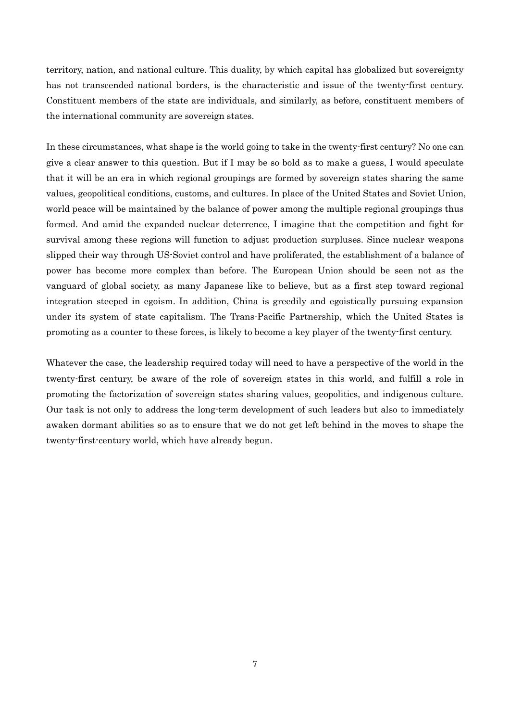territory, nation, and national culture. This duality, by which capital has globalized but sovereignty has not transcended national borders, is the characteristic and issue of the twenty-first century. Constituent members of the state are individuals, and similarly, as before, constituent members of the international community are sovereign states.

In these circumstances, what shape is the world going to take in the twenty-first century? No one can give a clear answer to this question. But if I may be so bold as to make a guess, I would speculate that it will be an era in which regional groupings are formed by sovereign states sharing the same values, geopolitical conditions, customs, and cultures. In place of the United States and Soviet Union, world peace will be maintained by the balance of power among the multiple regional groupings thus formed. And amid the expanded nuclear deterrence, I imagine that the competition and fight for survival among these regions will function to adjust production surpluses. Since nuclear weapons slipped their way through US-Soviet control and have proliferated, the establishment of a balance of power has become more complex than before. The European Union should be seen not as the vanguard of global society, as many Japanese like to believe, but as a first step toward regional integration steeped in egoism. In addition, China is greedily and egoistically pursuing expansion under its system of state capitalism. The Trans-Pacific Partnership, which the United States is promoting as a counter to these forces, is likely to become a key player of the twenty-first century.

Whatever the case, the leadership required today will need to have a perspective of the world in the twenty-first century, be aware of the role of sovereign states in this world, and fulfill a role in promoting the factorization of sovereign states sharing values, geopolitics, and indigenous culture. Our task is not only to address the long-term development of such leaders but also to immediately awaken dormant abilities so as to ensure that we do not get left behind in the moves to shape the twenty-first-century world, which have already begun.